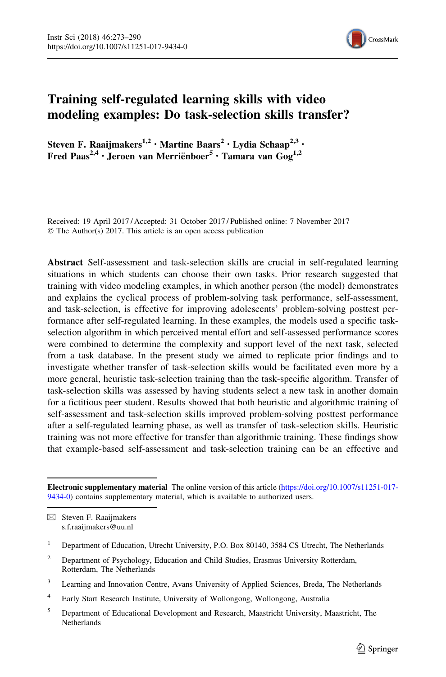

# Training self-regulated learning skills with video modeling examples: Do task-selection skills transfer?

Steven F. Raaijmakers<sup>1,2</sup> · Martine Baars<sup>2</sup> · Lydia Schaap<sup>2,3</sup> · Fred Paas<sup>2,4</sup> • Jeroen van Merriënboer<sup>5</sup> • Tamara van Gog<sup>1,2</sup>

Received: 19 April 2017 / Accepted: 31 October 2017 / Published online: 7 November 2017 © The Author(s) 2017. This article is an open access publication

Abstract Self-assessment and task-selection skills are crucial in self-regulated learning situations in which students can choose their own tasks. Prior research suggested that training with video modeling examples, in which another person (the model) demonstrates and explains the cyclical process of problem-solving task performance, self-assessment, and task-selection, is effective for improving adolescents' problem-solving posttest performance after self-regulated learning. In these examples, the models used a specific taskselection algorithm in which perceived mental effort and self-assessed performance scores were combined to determine the complexity and support level of the next task, selected from a task database. In the present study we aimed to replicate prior findings and to investigate whether transfer of task-selection skills would be facilitated even more by a more general, heuristic task-selection training than the task-specific algorithm. Transfer of task-selection skills was assessed by having students select a new task in another domain for a fictitious peer student. Results showed that both heuristic and algorithmic training of self-assessment and task-selection skills improved problem-solving posttest performance after a self-regulated learning phase, as well as transfer of task-selection skills. Heuristic training was not more effective for transfer than algorithmic training. These findings show that example-based self-assessment and task-selection training can be an effective and

<sup>2</sup> Department of Psychology, Education and Child Studies, Erasmus University Rotterdam, Rotterdam, The Netherlands

Electronic supplementary material The online version of this article [\(https://doi.org/10.1007/s11251-017-](https://doi.org/10.1007/s11251-017-9434-0) [9434-0](https://doi.org/10.1007/s11251-017-9434-0)) contains supplementary material, which is available to authorized users.

 $\boxtimes$  Steven F. Raaijmakers s.f.raaijmakers@uu.nl

<sup>&</sup>lt;sup>1</sup> Department of Education, Utrecht University, P.O. Box 80140, 3584 CS Utrecht, The Netherlands

<sup>&</sup>lt;sup>3</sup> Learning and Innovation Centre, Avans University of Applied Sciences, Breda, The Netherlands

<sup>4</sup> Early Start Research Institute, University of Wollongong, Wollongong, Australia

<sup>5</sup> Department of Educational Development and Research, Maastricht University, Maastricht, The Netherlands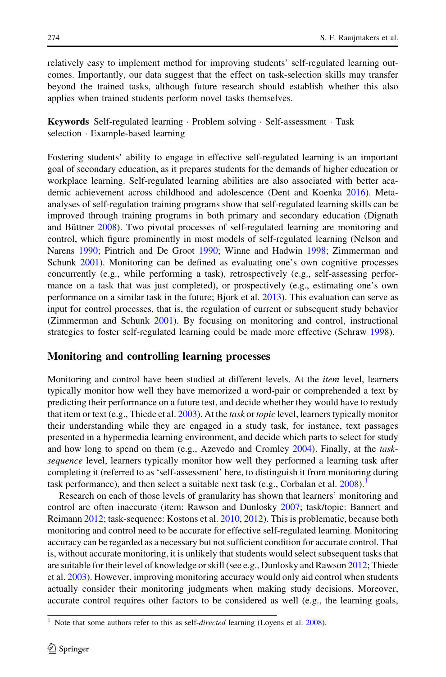relatively easy to implement method for improving students' self-regulated learning outcomes. Importantly, our data suggest that the effect on task-selection skills may transfer beyond the trained tasks, although future research should establish whether this also applies when trained students perform novel tasks themselves.

Keywords Self-regulated learning - Problem solving - Self-assessment - Task selection - Example-based learning

Fostering students' ability to engage in effective self-regulated learning is an important goal of secondary education, as it prepares students for the demands of higher education or workplace learning. Self-regulated learning abilities are also associated with better academic achievement across childhood and adolescence (Dent and Koenka [2016](#page-15-0)). Metaanalyses of self-regulation training programs show that self-regulated learning skills can be improved through training programs in both primary and secondary education (Dignath and Büttner [2008](#page-15-0)). Two pivotal processes of self-regulated learning are monitoring and control, which figure prominently in most models of self-regulated learning (Nelson and Narens [1990](#page-16-0); Pintrich and De Groot [1990;](#page-16-0) Winne and Hadwin [1998](#page-17-0); Zimmerman and Schunk [2001](#page-17-0)). Monitoring can be defined as evaluating one's own cognitive processes concurrently (e.g., while performing a task), retrospectively (e.g., self-assessing performance on a task that was just completed), or prospectively (e.g., estimating one's own performance on a similar task in the future; Bjork et al. [2013\)](#page-15-0). This evaluation can serve as input for control processes, that is, the regulation of current or subsequent study behavior (Zimmerman and Schunk [2001\)](#page-17-0). By focusing on monitoring and control, instructional strategies to foster self-regulated learning could be made more effective (Schraw [1998\)](#page-17-0).

## Monitoring and controlling learning processes

Monitoring and control have been studied at different levels. At the *item* level, learners typically monitor how well they have memorized a word-pair or comprehended a text by predicting their performance on a future test, and decide whether they would have to restudy that item or text (e.g., Thiede et al. [2003](#page-17-0)). At the task or topic level, learners typically monitor their understanding while they are engaged in a study task, for instance, text passages presented in a hypermedia learning environment, and decide which parts to select for study and how long to spend on them (e.g., Azevedo and Cromley [2004](#page-15-0)). Finally, at the tasksequence level, learners typically monitor how well they performed a learning task after completing it (referred to as 'self-assessment' here, to distinguish it from monitoring during task performance), and then select a suitable next task (e.g., Corbalan et al.  $2008$ ).<sup>1</sup>

Research on each of those levels of granularity has shown that learners' monitoring and control are often inaccurate (item: Rawson and Dunlosky [2007;](#page-16-0) task/topic: Bannert and Reimann [2012;](#page-15-0) task-sequence: Kostons et al. [2010](#page-16-0), [2012](#page-16-0)). This is problematic, because both monitoring and control need to be accurate for effective self-regulated learning. Monitoring accuracy can be regarded as a necessary but not sufficient condition for accurate control. That is, without accurate monitoring, it is unlikely that students would select subsequent tasks that are suitable for their level of knowledge or skill (see e.g., Dunlosky and Rawson [2012;](#page-15-0) Thiede et al. [2003\)](#page-17-0). However, improving monitoring accuracy would only aid control when students actually consider their monitoring judgments when making study decisions. Moreover, accurate control requires other factors to be considered as well (e.g., the learning goals,

Note that some authors refer to this as self-directed learning (Loyens et al. [2008](#page-16-0)).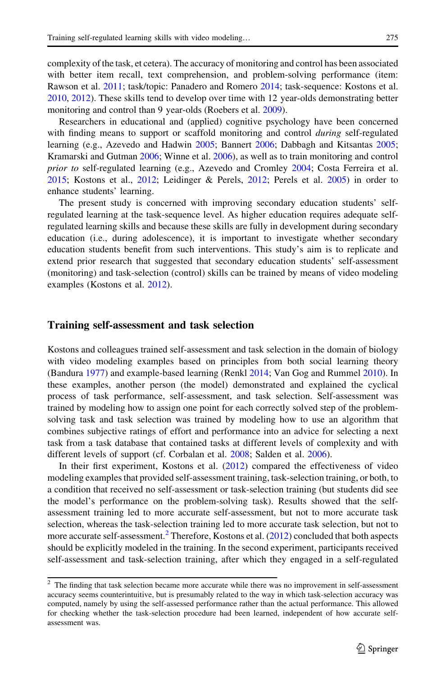complexity of the task, et cetera). The accuracy of monitoring and control has been associated with better item recall, text comprehension, and problem-solving performance (item: Rawson et al. [2011;](#page-16-0) task/topic: Panadero and Romero [2014;](#page-16-0) task-sequence: Kostons et al. [2010,](#page-16-0) [2012](#page-16-0)). These skills tend to develop over time with 12 year-olds demonstrating better monitoring and control than 9 year-olds (Roebers et al. [2009\)](#page-16-0).

Researchers in educational and (applied) cognitive psychology have been concerned with finding means to support or scaffold monitoring and control *during* self-regulated learning (e.g., Azevedo and Hadwin [2005;](#page-15-0) Bannert [2006;](#page-15-0) Dabbagh and Kitsantas [2005;](#page-15-0) Kramarski and Gutman [2006;](#page-16-0) Winne et al. [2006](#page-17-0)), as well as to train monitoring and control prior to self-regulated learning (e.g., Azevedo and Cromley [2004;](#page-15-0) Costa Ferreira et al. [2015;](#page-15-0) Kostons et al., [2012](#page-16-0); Leidinger & Perels, [2012](#page-16-0); Perels et al. [2005\)](#page-16-0) in order to enhance students' learning.

The present study is concerned with improving secondary education students' selfregulated learning at the task-sequence level. As higher education requires adequate selfregulated learning skills and because these skills are fully in development during secondary education (i.e., during adolescence), it is important to investigate whether secondary education students benefit from such interventions. This study's aim is to replicate and extend prior research that suggested that secondary education students' self-assessment (monitoring) and task-selection (control) skills can be trained by means of video modeling examples (Kostons et al. [2012](#page-16-0)).

## Training self-assessment and task selection

Kostons and colleagues trained self-assessment and task selection in the domain of biology with video modeling examples based on principles from both social learning theory (Bandura [1977](#page-15-0)) and example-based learning (Renkl [2014;](#page-16-0) Van Gog and Rummel [2010\)](#page-17-0). In these examples, another person (the model) demonstrated and explained the cyclical process of task performance, self-assessment, and task selection. Self-assessment was trained by modeling how to assign one point for each correctly solved step of the problemsolving task and task selection was trained by modeling how to use an algorithm that combines subjective ratings of effort and performance into an advice for selecting a next task from a task database that contained tasks at different levels of complexity and with different levels of support (cf. Corbalan et al. [2008;](#page-15-0) Salden et al. [2006](#page-17-0)).

In their first experiment, Kostons et al. [\(2012](#page-16-0)) compared the effectiveness of video modeling examples that provided self-assessment training, task-selection training, or both, to a condition that received no self-assessment or task-selection training (but students did see the model's performance on the problem-solving task). Results showed that the selfassessment training led to more accurate self-assessment, but not to more accurate task selection, whereas the task-selection training led to more accurate task selection, but not to more accurate self-assessment.<sup>2</sup> Therefore, Kostons et al.  $(2012)$  $(2012)$  concluded that both aspects should be explicitly modeled in the training. In the second experiment, participants received self-assessment and task-selection training, after which they engaged in a self-regulated

<sup>2</sup> The finding that task selection became more accurate while there was no improvement in self-assessment accuracy seems counterintuitive, but is presumably related to the way in which task-selection accuracy was computed, namely by using the self-assessed performance rather than the actual performance. This allowed for checking whether the task-selection procedure had been learned, independent of how accurate selfassessment was.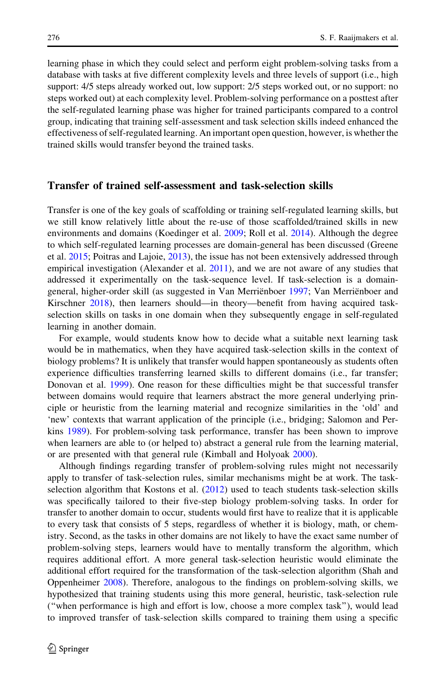learning phase in which they could select and perform eight problem-solving tasks from a database with tasks at five different complexity levels and three levels of support (i.e., high support: 4/5 steps already worked out, low support: 2/5 steps worked out, or no support: no steps worked out) at each complexity level. Problem-solving performance on a posttest after the self-regulated learning phase was higher for trained participants compared to a control group, indicating that training self-assessment and task selection skills indeed enhanced the effectiveness of self-regulated learning. An important open question, however, is whether the trained skills would transfer beyond the trained tasks.

#### Transfer of trained self-assessment and task-selection skills

Transfer is one of the key goals of scaffolding or training self-regulated learning skills, but we still know relatively little about the re-use of those scaffolded/trained skills in new environments and domains (Koedinger et al. [2009;](#page-16-0) Roll et al. [2014\)](#page-17-0). Although the degree to which self-regulated learning processes are domain-general has been discussed (Greene et al. [2015;](#page-16-0) Poitras and Lajoie, [2013\)](#page-16-0), the issue has not been extensively addressed through empirical investigation (Alexander et al. [2011](#page-15-0)), and we are not aware of any studies that addressed it experimentally on the task-sequence level. If task-selection is a domain-general, higher-order skill (as suggested in Van Merriënboer [1997;](#page-17-0) Van Merriënboer and Kirschner [2018\)](#page-17-0), then learners should—in theory—benefit from having acquired taskselection skills on tasks in one domain when they subsequently engage in self-regulated learning in another domain.

For example, would students know how to decide what a suitable next learning task would be in mathematics, when they have acquired task-selection skills in the context of biology problems? It is unlikely that transfer would happen spontaneously as students often experience difficulties transferring learned skills to different domains (i.e., far transfer; Donovan et al. [1999](#page-15-0)). One reason for these difficulties might be that successful transfer between domains would require that learners abstract the more general underlying principle or heuristic from the learning material and recognize similarities in the 'old' and 'new' contexts that warrant application of the principle (i.e., bridging; Salomon and Perkins [1989](#page-17-0)). For problem-solving task performance, transfer has been shown to improve when learners are able to (or helped to) abstract a general rule from the learning material, or are presented with that general rule (Kimball and Holyoak [2000\)](#page-16-0).

Although findings regarding transfer of problem-solving rules might not necessarily apply to transfer of task-selection rules, similar mechanisms might be at work. The taskselection algorithm that Kostons et al. [\(2012](#page-16-0)) used to teach students task-selection skills was specifically tailored to their five-step biology problem-solving tasks. In order for transfer to another domain to occur, students would first have to realize that it is applicable to every task that consists of 5 steps, regardless of whether it is biology, math, or chemistry. Second, as the tasks in other domains are not likely to have the exact same number of problem-solving steps, learners would have to mentally transform the algorithm, which requires additional effort. A more general task-selection heuristic would eliminate the additional effort required for the transformation of the task-selection algorithm (Shah and Oppenheimer [2008\)](#page-17-0). Therefore, analogous to the findings on problem-solving skills, we hypothesized that training students using this more general, heuristic, task-selection rule (''when performance is high and effort is low, choose a more complex task''), would lead to improved transfer of task-selection skills compared to training them using a specific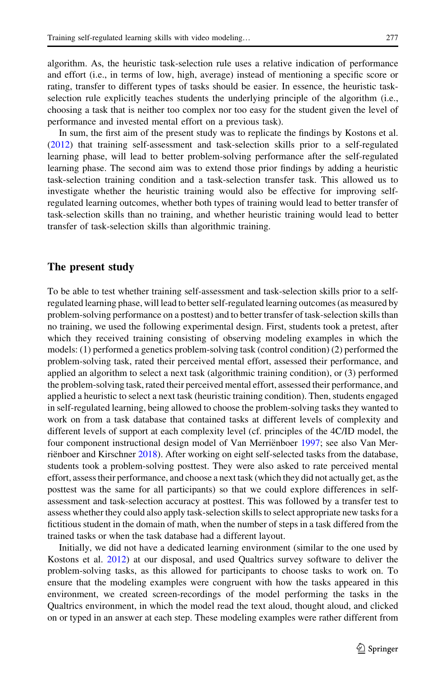algorithm. As, the heuristic task-selection rule uses a relative indication of performance and effort (i.e., in terms of low, high, average) instead of mentioning a specific score or rating, transfer to different types of tasks should be easier. In essence, the heuristic taskselection rule explicitly teaches students the underlying principle of the algorithm (i.e., choosing a task that is neither too complex nor too easy for the student given the level of performance and invested mental effort on a previous task).

In sum, the first aim of the present study was to replicate the findings by Kostons et al. ([2012\)](#page-16-0) that training self-assessment and task-selection skills prior to a self-regulated learning phase, will lead to better problem-solving performance after the self-regulated learning phase. The second aim was to extend those prior findings by adding a heuristic task-selection training condition and a task-selection transfer task. This allowed us to investigate whether the heuristic training would also be effective for improving selfregulated learning outcomes, whether both types of training would lead to better transfer of task-selection skills than no training, and whether heuristic training would lead to better transfer of task-selection skills than algorithmic training.

#### The present study

To be able to test whether training self-assessment and task-selection skills prior to a selfregulated learning phase, will lead to better self-regulated learning outcomes (as measured by problem-solving performance on a posttest) and to better transfer of task-selection skills than no training, we used the following experimental design. First, students took a pretest, after which they received training consisting of observing modeling examples in which the models: (1) performed a genetics problem-solving task (control condition) (2) performed the problem-solving task, rated their perceived mental effort, assessed their performance, and applied an algorithm to select a next task (algorithmic training condition), or (3) performed the problem-solving task, rated their perceived mental effort, assessed their performance, and applied a heuristic to select a next task (heuristic training condition). Then, students engaged in self-regulated learning, being allowed to choose the problem-solving tasks they wanted to work on from a task database that contained tasks at different levels of complexity and different levels of support at each complexity level (cf. principles of the 4C/ID model, the four component instructional design model of Van Merrienboer [1997](#page-17-0); see also Van Mer-riënboer and Kirschner [2018](#page-17-0)). After working on eight self-selected tasks from the database, students took a problem-solving posttest. They were also asked to rate perceived mental effort, assess their performance, and choose a next task (which they did not actually get, as the posttest was the same for all participants) so that we could explore differences in selfassessment and task-selection accuracy at posttest. This was followed by a transfer test to assess whether they could also apply task-selection skills to select appropriate new tasks for a fictitious student in the domain of math, when the number of steps in a task differed from the trained tasks or when the task database had a different layout.

Initially, we did not have a dedicated learning environment (similar to the one used by Kostons et al. [2012](#page-16-0)) at our disposal, and used Qualtrics survey software to deliver the problem-solving tasks, as this allowed for participants to choose tasks to work on. To ensure that the modeling examples were congruent with how the tasks appeared in this environment, we created screen-recordings of the model performing the tasks in the Qualtrics environment, in which the model read the text aloud, thought aloud, and clicked on or typed in an answer at each step. These modeling examples were rather different from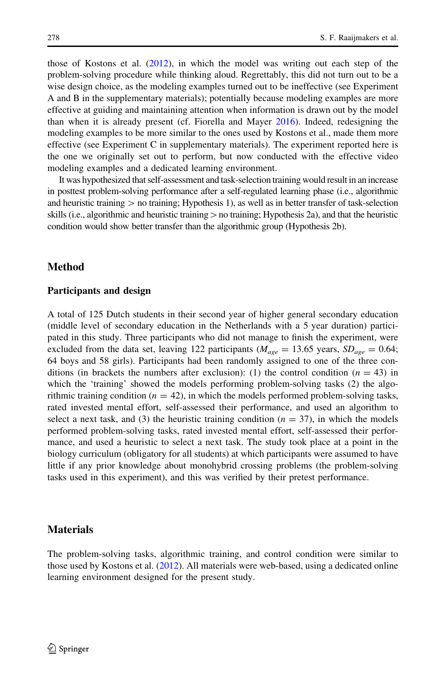those of Kostons et al. [\(2012\)](#page-16-0), in which the model was writing out each step of the problem-solving procedure while thinking aloud. Regrettably, this did not turn out to be a wise design choice, as the modeling examples turned out to be ineffective (see Experiment A and B in the supplementary materials); potentially because modeling examples are more effective at guiding and maintaining attention when information is drawn out by the model than when it is already present (cf. Fiorella and Mayer [2016\)](#page-15-0). Indeed, redesigning the modeling examples to be more similar to the ones used by Kostons et al., made them more effective (see Experiment C in supplementary materials). The experiment reported here is the one we originally set out to perform, but now conducted with the effective video modeling examples and a dedicated learning environment.

It was hypothesized that self-assessment and task-selection training would result in an increase in posttest problem-solving performance after a self-regulated learning phase (i.e., algorithmic and heuristic training  $\geq$  no training; Hypothesis 1), as well as in better transfer of task-selection skills (i.e., algorithmic and heuristic training  $\geq$  no training; Hypothesis 2a), and that the heuristic condition would show better transfer than the algorithmic group (Hypothesis 2b).

### Method

#### Participants and design

A total of 125 Dutch students in their second year of higher general secondary education (middle level of secondary education in the Netherlands with a 5 year duration) participated in this study. Three participants who did not manage to finish the experiment, were excluded from the data set, leaving 122 participants ( $M_{\text{ave}} = 13.65$  years,  $SD_{\text{ave}} = 0.64$ ; 64 boys and 58 girls). Participants had been randomly assigned to one of the three conditions (in brackets the numbers after exclusion): (1) the control condition ( $n = 43$ ) in which the 'training' showed the models performing problem-solving tasks (2) the algorithmic training condition ( $n = 42$ ), in which the models performed problem-solving tasks, rated invested mental effort, self-assessed their performance, and used an algorithm to select a next task, and (3) the heuristic training condition ( $n = 37$ ), in which the models performed problem-solving tasks, rated invested mental effort, self-assessed their performance, and used a heuristic to select a next task. The study took place at a point in the biology curriculum (obligatory for all students) at which participants were assumed to have little if any prior knowledge about monohybrid crossing problems (the problem-solving tasks used in this experiment), and this was verified by their pretest performance.

## **Materials**

The problem-solving tasks, algorithmic training, and control condition were similar to those used by Kostons et al. [\(2012](#page-16-0)). All materials were web-based, using a dedicated online learning environment designed for the present study.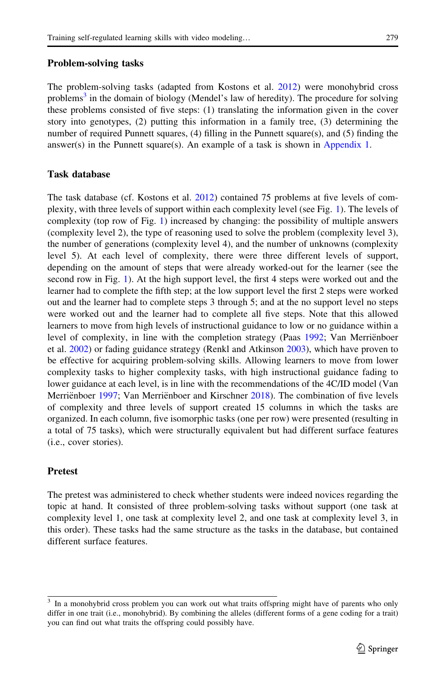The problem-solving tasks (adapted from Kostons et al. [2012](#page-16-0)) were monohybrid cross problems<sup>3</sup> in the domain of biology (Mendel's law of heredity). The procedure for solving these problems consisted of five steps: (1) translating the information given in the cover story into genotypes, (2) putting this information in a family tree, (3) determining the number of required Punnett squares, (4) filling in the Punnett square(s), and (5) finding the answer(s) in the Punnett square(s). An example of a task is shown in [Appendix 1](#page-14-0).

## Task database

The task database (cf. Kostons et al. [2012](#page-16-0)) contained 75 problems at five levels of complexity, with three levels of support within each complexity level (see Fig. [1\)](#page-7-0). The levels of complexity (top row of Fig. [1\)](#page-7-0) increased by changing: the possibility of multiple answers (complexity level 2), the type of reasoning used to solve the problem (complexity level 3), the number of generations (complexity level 4), and the number of unknowns (complexity level 5). At each level of complexity, there were three different levels of support, depending on the amount of steps that were already worked-out for the learner (see the second row in Fig. [1](#page-7-0)). At the high support level, the first 4 steps were worked out and the learner had to complete the fifth step; at the low support level the first 2 steps were worked out and the learner had to complete steps 3 through 5; and at the no support level no steps were worked out and the learner had to complete all five steps. Note that this allowed learners to move from high levels of instructional guidance to low or no guidance within a level of complexity, in line with the completion strategy (Paas [1992](#page-16-0); Van Merrienboer et al. [2002](#page-17-0)) or fading guidance strategy (Renkl and Atkinson [2003](#page-16-0)), which have proven to be effective for acquiring problem-solving skills. Allowing learners to move from lower complexity tasks to higher complexity tasks, with high instructional guidance fading to lower guidance at each level, is in line with the recommendations of the 4C/ID model (Van Merriënboer [1997;](#page-17-0) Van Merriënboer and Kirschner [2018](#page-17-0)). The combination of five levels of complexity and three levels of support created 15 columns in which the tasks are organized. In each column, five isomorphic tasks (one per row) were presented (resulting in a total of 75 tasks), which were structurally equivalent but had different surface features (i.e., cover stories).

#### Pretest

The pretest was administered to check whether students were indeed novices regarding the topic at hand. It consisted of three problem-solving tasks without support (one task at complexity level 1, one task at complexity level 2, and one task at complexity level 3, in this order). These tasks had the same structure as the tasks in the database, but contained different surface features.

<sup>&</sup>lt;sup>3</sup> In a monohybrid cross problem you can work out what traits offspring might have of parents who only differ in one trait (i.e., monohybrid). By combining the alleles (different forms of a gene coding for a trait) you can find out what traits the offspring could possibly have.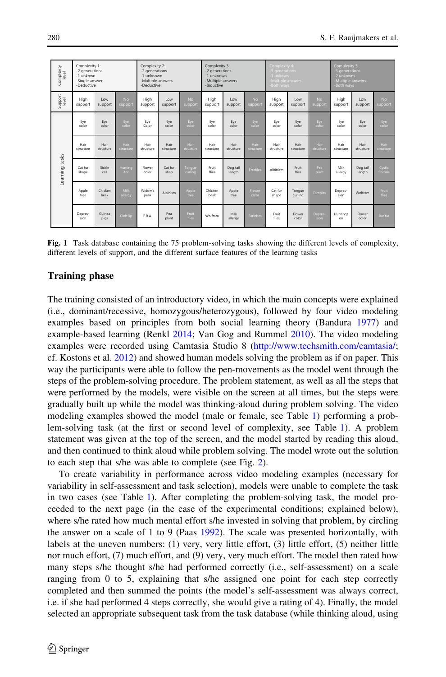<span id="page-7-0"></span>

| Complexity<br>level | Complexity 1:    |                 |                 | Complexity 2:     |                 |                       | Complexity 3:     |                    |                 | Complexity 4:    |                   |                 | Complexity 5:    |                    |                    |
|---------------------|------------------|-----------------|-----------------|-------------------|-----------------|-----------------------|-------------------|--------------------|-----------------|------------------|-------------------|-----------------|------------------|--------------------|--------------------|
|                     | -2 generations   |                 |                 | -2 generations    |                 |                       | -2 generations    |                    |                 | 3 generations    |                   |                 | -3 generations   |                    |                    |
|                     | -1 unkown        |                 |                 | -1 unknown        |                 |                       | -1 unknown        |                    |                 | 1 unkown         |                   |                 | -2 unkowns       |                    |                    |
|                     | -Single answer   |                 |                 | -Multiple answers |                 |                       | -Multiple answers |                    |                 | Multiple answers |                   |                 | Multiple answers |                    |                    |
|                     | -Deductive       |                 |                 | -Deductive        |                 |                       | -Inductive        |                    |                 | Both ways        |                   |                 | Both ways        |                    |                    |
| Support<br>level    | High             | Low             | <b>No</b>       | High              | Low             | <b>No</b>             | High              | Low                | <b>No</b>       | High             | Low               | No.             | High             | Low                | No.                |
|                     | support          | support         | support         | support           | support         | support               | support           | support            | support         | support          | support           | support         | support          | support            | support            |
|                     | Eye              | Eye             | Eye             | Eye               | Eye             | Eye                   | Eye               | Eye                | Eye             | Eve              | Eye               | Eye             | Eve              | Eye                | Eye                |
|                     | color            | color           | color           | Color             | color           | color                 | color             | color              | color           | color            | color             | color           | color            | color              | color              |
|                     | Hair             | Hair            | <b>Hair</b>     | Hair              | Hair            | <b>Hair</b>           | Hair              | Hair               | Hair.           | Hair             | Hair              | <b>Hair</b>     | Hair             | Hair               | <b>Hair</b>        |
|                     | structure        | structure       | structure       | structure         | structure       | structure             | structure         | structure          | structure       | structure        | structure         | structure       | structure        | structure          | structure          |
| tasks<br>Learning   | Cat fur<br>shape | Sickle<br>cell  | Hunting<br>-ton | Flower<br>color   | Cat fur<br>shap | Tongue<br>curling     | Fruit<br>flies    | Dog tail<br>length | Freckles        | Albinism         | Fruit<br>flies    | Pea<br>plant    | Milk<br>allergy  | Dog tail<br>length | Cystic<br>fibrosis |
|                     | Apple<br>tree    | Chicken<br>beak | Milk<br>allergy | Widow's<br>peak   | Albinism        | Apple<br>tree         | Chicken<br>beak   | Apple<br>tree      | Flower<br>color | Cat fur<br>shape | Tongue<br>curling | <b>Dimples</b>  | Depres-<br>sion  | Wolfram            | Fruit<br>flies.    |
|                     | Depres-<br>sion  | Guinea<br>pigs  | Cleft lip       | P.R.A.            | Pea<br>plant    | Fruit<br><b>flies</b> | Wolfram           | Milk<br>allergy    | Earlobes        | Fruit<br>flies   | Flower<br>color   | Depres-<br>sion | Huntingt<br>on   | Flower<br>color    | Rat fur            |

Fig. 1 Task database containing the 75 problem-solving tasks showing the different levels of complexity, different levels of support, and the different surface features of the learning tasks

#### Training phase

The training consisted of an introductory video, in which the main concepts were explained (i.e., dominant/recessive, homozygous/heterozygous), followed by four video modeling examples based on principles from both social learning theory (Bandura [1977](#page-15-0)) and example-based learning (Renkl [2014](#page-16-0); Van Gog and Rummel [2010\)](#page-17-0). The video modeling examples were recorded using Camtasia Studio 8 [\(http://www.techsmith.com/camtasia/;](http://www.techsmith.com/camtasia/) cf. Kostons et al. [2012\)](#page-16-0) and showed human models solving the problem as if on paper. This way the participants were able to follow the pen-movements as the model went through the steps of the problem-solving procedure. The problem statement, as well as all the steps that were performed by the models, were visible on the screen at all times, but the steps were gradually built up while the model was thinking-aloud during problem solving. The video modeling examples showed the model (male or female, see Table [1](#page-8-0)) performing a problem-solving task (at the first or second level of complexity, see Table [1\)](#page-8-0). A problem statement was given at the top of the screen, and the model started by reading this aloud, and then continued to think aloud while problem solving. The model wrote out the solution to each step that s/he was able to complete (see Fig. [2\)](#page-8-0). **Example is the complexity level and the different task from the task database (while this subsequent the task database (while this subsequent the task database (while this may depend on the task database (while this may** 

To create variability in performance across video modeling examples (necessary for variability in self-assessment and task selection), models were unable to complete the task in two cases (see Table [1](#page-8-0)). After completing the problem-solving task, the model proceeded to the next page (in the case of the experimental conditions; explained below), where s/he rated how much mental effort s/he invested in solving that problem, by circling the answer on a scale of 1 to 9 (Paas [1992](#page-16-0)). The scale was presented horizontally, with labels at the uneven numbers: (1) very, very little effort, (3) little effort, (5) neither little nor much effort, (7) much effort, and (9) very, very much effort. The model then rated how many steps s/he thought s/he had performed correctly (i.e., self-assessment) on a scale ranging from 0 to 5, explaining that s/he assigned one point for each step correctly completed and then summed the points (the model's self-assessment was always correct, i.e. if she had performed 4 steps correctly, she would give a rating of 4). Finally, the model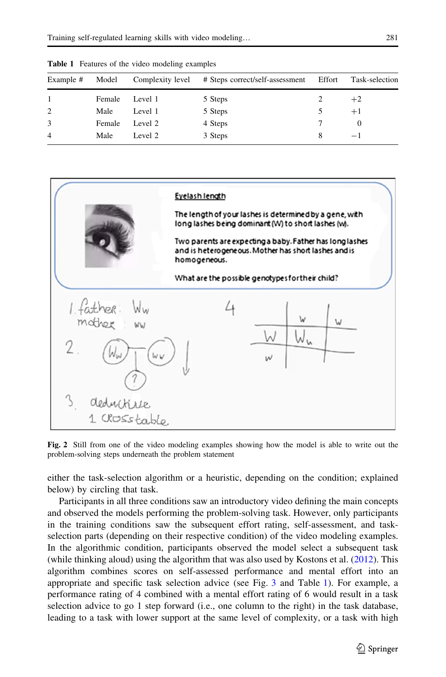| Example #      | Model  | Complexity level | # Steps correct/self-assessment | Effort | Task-selection |
|----------------|--------|------------------|---------------------------------|--------|----------------|
| 1              | Female | Level 1          | 5 Steps                         |        | $+2$           |
| 2              | Male   | Level 1          | 5 Steps                         |        | $+1$           |
| 3              | Female | Level 2          | 4 Steps                         |        |                |
| $\overline{4}$ | Male   | Level 2          | 3 Steps                         | 8      | -1             |

<span id="page-8-0"></span>Table 1 Features of the video modeling examples



Fig. 2 Still from one of the video modeling examples showing how the model is able to write out the problem-solving steps underneath the problem statement

either the task-selection algorithm or a heuristic, depending on the condition; explained below) by circling that task.

Participants in all three conditions saw an introductory video defining the main concepts and observed the models performing the problem-solving task. However, only participants in the training conditions saw the subsequent effort rating, self-assessment, and taskselection parts (depending on their respective condition) of the video modeling examples. In the algorithmic condition, participants observed the model select a subsequent task (while thinking aloud) using the algorithm that was also used by Kostons et al. [\(2012\)](#page-16-0). This algorithm combines scores on self-assessed performance and mental effort into an appropriate and specific task selection advice (see Fig. [3](#page-9-0) and Table 1). For example, a performance rating of 4 combined with a mental effort rating of 6 would result in a task selection advice to go 1 step forward (i.e., one column to the right) in the task database, leading to a task with lower support at the same level of complexity, or a task with high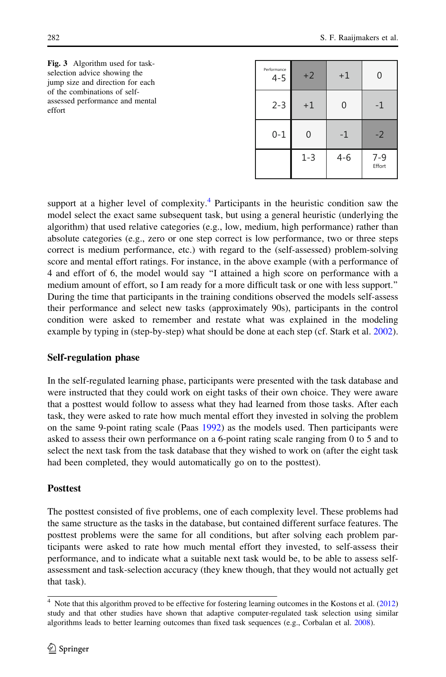<span id="page-9-0"></span>

| Performance<br>$4 - 5$ | $+2$    | $+1$    | 0                 |
|------------------------|---------|---------|-------------------|
| $2 - 3$                | $+1$    | 0       | -1                |
| $0 - 1$                | 0       | $-1$    | $-2$              |
|                        | $1 - 3$ | $4 - 6$ | $7 - 9$<br>Effort |

support at a higher level of complexity.<sup>4</sup> Participants in the heuristic condition saw the model select the exact same subsequent task, but using a general heuristic (underlying the algorithm) that used relative categories (e.g., low, medium, high performance) rather than absolute categories (e.g., zero or one step correct is low performance, two or three steps correct is medium performance, etc.) with regard to the (self-assessed) problem-solving score and mental effort ratings. For instance, in the above example (with a performance of 4 and effort of 6, the model would say ''I attained a high score on performance with a medium amount of effort, so I am ready for a more difficult task or one with less support.'' During the time that participants in the training conditions observed the models self-assess their performance and select new tasks (approximately 90s), participants in the control condition were asked to remember and restate what was explained in the modeling example by typing in (step-by-step) what should be done at each step (cf. Stark et al. [2002](#page-17-0)).

# Self-regulation phase

In the self-regulated learning phase, participants were presented with the task database and were instructed that they could work on eight tasks of their own choice. They were aware that a posttest would follow to assess what they had learned from those tasks. After each task, they were asked to rate how much mental effort they invested in solving the problem on the same 9-point rating scale (Paas [1992\)](#page-16-0) as the models used. Then participants were asked to assess their own performance on a 6-point rating scale ranging from 0 to 5 and to select the next task from the task database that they wished to work on (after the eight task had been completed, they would automatically go on to the posttest).

# Posttest

The posttest consisted of five problems, one of each complexity level. These problems had the same structure as the tasks in the database, but contained different surface features. The posttest problems were the same for all conditions, but after solving each problem participants were asked to rate how much mental effort they invested, to self-assess their performance, and to indicate what a suitable next task would be, to be able to assess selfassessment and task-selection accuracy (they knew though, that they would not actually get that task).

<sup>&</sup>lt;sup>4</sup> Note that this algorithm proved to be effective for fostering learning outcomes in the Kostons et al. [\(2012\)](#page-16-0) study and that other studies have shown that adaptive computer-regulated task selection using similar algorithms leads to better learning outcomes than fixed task sequences (e.g., Corbalan et al. [2008](#page-15-0)).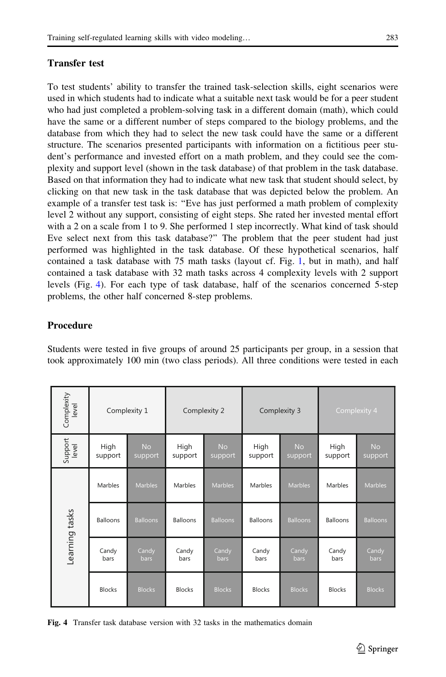## Transfer test

To test students' ability to transfer the trained task-selection skills, eight scenarios were used in which students had to indicate what a suitable next task would be for a peer student who had just completed a problem-solving task in a different domain (math), which could have the same or a different number of steps compared to the biology problems, and the database from which they had to select the new task could have the same or a different structure. The scenarios presented participants with information on a fictitious peer student's performance and invested effort on a math problem, and they could see the complexity and support level (shown in the task database) of that problem in the task database. Based on that information they had to indicate what new task that student should select, by clicking on that new task in the task database that was depicted below the problem. An example of a transfer test task is: "Eve has just performed a math problem of complexity level 2 without any support, consisting of eight steps. She rated her invested mental effort with a 2 on a scale from 1 to 9. She performed 1 step incorrectly. What kind of task should Eve select next from this task database?'' The problem that the peer student had just performed was highlighted in the task database. Of these hypothetical scenarios, half contained a task database with 75 math tasks (layout cf. Fig. [1](#page-7-0), but in math), and half contained a task database with 32 math tasks across 4 complexity levels with 2 support levels (Fig. 4). For each type of task database, half of the scenarios concerned 5-step problems, the other half concerned 8-step problems.

## Procedure

Students were tested in five groups of around 25 participants per group, in a session that took approximately 100 min (two class periods). All three conditions were tested in each

| Complexity<br>level | Complexity 1    |                      | Complexity 2    |                      | Complexity 3    |                      | Complexity 4    |                      |
|---------------------|-----------------|----------------------|-----------------|----------------------|-----------------|----------------------|-----------------|----------------------|
| Support<br>level    | High<br>support | <b>No</b><br>support | High<br>support | <b>No</b><br>support | High<br>support | <b>No</b><br>support | High<br>support | <b>No</b><br>support |
|                     | Marbles         | Marbles              | Marbles         | Marbles              | Marbles         | <b>Marbles</b>       | Marbles         | <b>Marbles</b>       |
|                     | <b>Balloons</b> | <b>Balloons</b>      | Balloons        | <b>Balloons</b>      | Balloons        | <b>Balloons</b>      | <b>Balloons</b> | <b>Balloons</b>      |
| Learning tasks      | Candy<br>bars   | Candy<br>bars        | Candy<br>bars   | Candy<br><b>bars</b> | Candy<br>bars   | Candy<br>bars        | Candy<br>bars   | Candy<br><b>bars</b> |
|                     | <b>Blocks</b>   | <b>Blocks</b>        | <b>Blocks</b>   | <b>Blocks</b>        | <b>Blocks</b>   | <b>Blocks</b>        | <b>Blocks</b>   | <b>Blocks</b>        |

Fig. 4 Transfer task database version with 32 tasks in the mathematics domain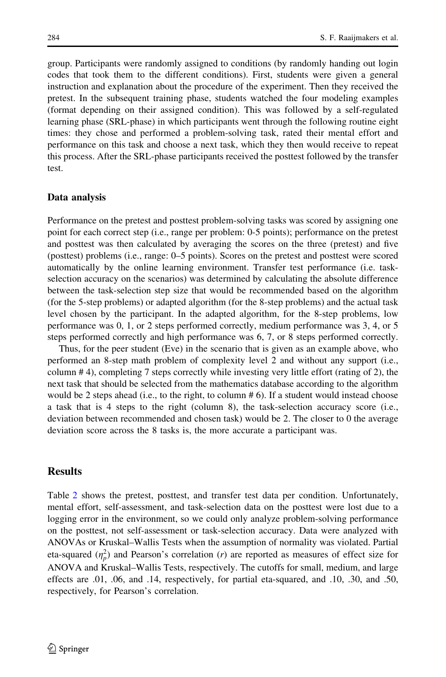group. Participants were randomly assigned to conditions (by randomly handing out login codes that took them to the different conditions). First, students were given a general instruction and explanation about the procedure of the experiment. Then they received the pretest. In the subsequent training phase, students watched the four modeling examples (format depending on their assigned condition). This was followed by a self-regulated learning phase (SRL-phase) in which participants went through the following routine eight times: they chose and performed a problem-solving task, rated their mental effort and performance on this task and choose a next task, which they then would receive to repeat this process. After the SRL-phase participants received the posttest followed by the transfer test.

#### Data analysis

Performance on the pretest and posttest problem-solving tasks was scored by assigning one point for each correct step (i.e., range per problem: 0-5 points); performance on the pretest and posttest was then calculated by averaging the scores on the three (pretest) and five (posttest) problems (i.e., range: 0–5 points). Scores on the pretest and posttest were scored automatically by the online learning environment. Transfer test performance (i.e. taskselection accuracy on the scenarios) was determined by calculating the absolute difference between the task-selection step size that would be recommended based on the algorithm (for the 5-step problems) or adapted algorithm (for the 8-step problems) and the actual task level chosen by the participant. In the adapted algorithm, for the 8-step problems, low performance was 0, 1, or 2 steps performed correctly, medium performance was 3, 4, or 5 steps performed correctly and high performance was 6, 7, or 8 steps performed correctly.

Thus, for the peer student (Eve) in the scenario that is given as an example above, who performed an 8-step math problem of complexity level 2 and without any support (i.e., column # 4), completing 7 steps correctly while investing very little effort (rating of 2), the next task that should be selected from the mathematics database according to the algorithm would be 2 steps ahead (i.e., to the right, to column  $# 6$ ). If a student would instead choose a task that is 4 steps to the right (column 8), the task-selection accuracy score (i.e., deviation between recommended and chosen task) would be 2. The closer to 0 the average deviation score across the 8 tasks is, the more accurate a participant was.

## Results

Table [2](#page-12-0) shows the pretest, posttest, and transfer test data per condition. Unfortunately, mental effort, self-assessment, and task-selection data on the posttest were lost due to a logging error in the environment, so we could only analyze problem-solving performance on the posttest, not self-assessment or task-selection accuracy. Data were analyzed with ANOVAs or Kruskal–Wallis Tests when the assumption of normality was violated. Partial eta-squared  $(\eta_p^2)$  and Pearson's correlation (*r*) are reported as measures of effect size for ANOVA and Kruskal–Wallis Tests, respectively. The cutoffs for small, medium, and large effects are .01, .06, and .14, respectively, for partial eta-squared, and .10, .30, and .50, respectively, for Pearson's correlation.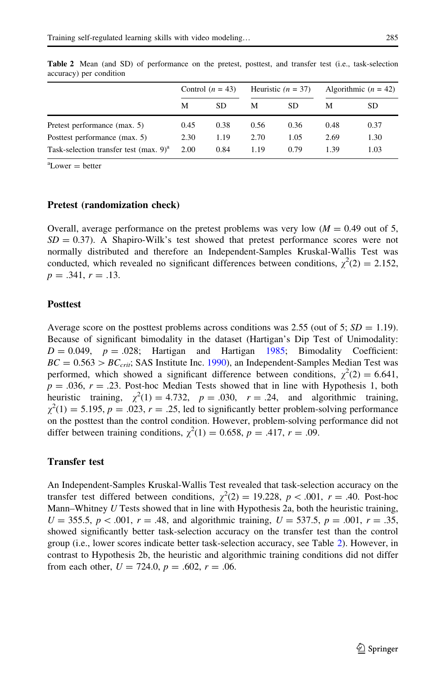|                                           | Control $(n = 43)$ |           | Heuristic $(n = 37)$ |      | Algorithmic $(n = 42)$ |      |
|-------------------------------------------|--------------------|-----------|----------------------|------|------------------------|------|
|                                           | М                  | <b>SD</b> | м                    | SD   | М                      | SD   |
| Pretest performance (max. 5)              | 0.45               | 0.38      | 0.56                 | 0.36 | 0.48                   | 0.37 |
| Posttest performance (max. 5)             | 2.30               | 1.19      | 2.70                 | 1.05 | 2.69                   | 1.30 |
| Task-selection transfer test $(max. 9)^a$ | 2.00               | 0.84      | 1.19                 | 0.79 | 1.39                   | 1.03 |

<span id="page-12-0"></span>Table 2 Mean (and SD) of performance on the pretest, posttest, and transfer test (i.e., task-selection accuracy) per condition

 ${}^{\text{a}}$ Lower = better

#### Pretest (randomization check)

Overall, average performance on the pretest problems was very low ( $M = 0.49$  out of 5,  $SD = 0.37$ ). A Shapiro-Wilk's test showed that pretest performance scores were not normally distributed and therefore an Independent-Samples Kruskal-Wallis Test was conducted, which revealed no significant differences between conditions,  $\chi^2(2) = 2.152$ ,  $p = .341, r = .13.$ 

#### Posttest

Average score on the posttest problems across conditions was 2.55 (out of 5;  $SD = 1.19$ ). Because of significant bimodality in the dataset (Hartigan's Dip Test of Unimodality:  $D = 0.049$ ,  $p = .028$ ; Hartigan and Hartigan [1985;](#page-16-0) Bimodality Coefficient:  $BC = 0.563 > BC_{crit}$ ; SAS Institute Inc. [1990](#page-17-0)), an Independent-Samples Median Test was performed, which showed a significant difference between conditions,  $\chi^2(2) = 6.641$ ,  $p = .036$ ,  $r = .23$ . Post-hoc Median Tests showed that in line with Hypothesis 1, both heuristic training,  $\chi^2(1) = 4.732$ ,  $p = .030$ ,  $r = .24$ , and algorithmic training,  $\chi^2(1) = 5.195$ ,  $p = .023$ ,  $r = .25$ , led to significantly better problem-solving performance on the posttest than the control condition. However, problem-solving performance did not differ between training conditions,  $\chi^2(1) = 0.658$ ,  $p = .417$ ,  $r = .09$ .

#### Transfer test

An Independent-Samples Kruskal-Wallis Test revealed that task-selection accuracy on the transfer test differed between conditions,  $\chi^2(2) = 19.228$ ,  $p < .001$ ,  $r = .40$ . Post-hoc Mann–Whitney  $U$  Tests showed that in line with Hypothesis 2a, both the heuristic training,  $U = 355.5, p < .001, r = .48$ , and algorithmic training,  $U = 537.5, p = .001, r = .35$ , showed significantly better task-selection accuracy on the transfer test than the control group (i.e., lower scores indicate better task-selection accuracy, see Table 2). However, in contrast to Hypothesis 2b, the heuristic and algorithmic training conditions did not differ from each other,  $U = 724.0, p = .602, r = .06$ .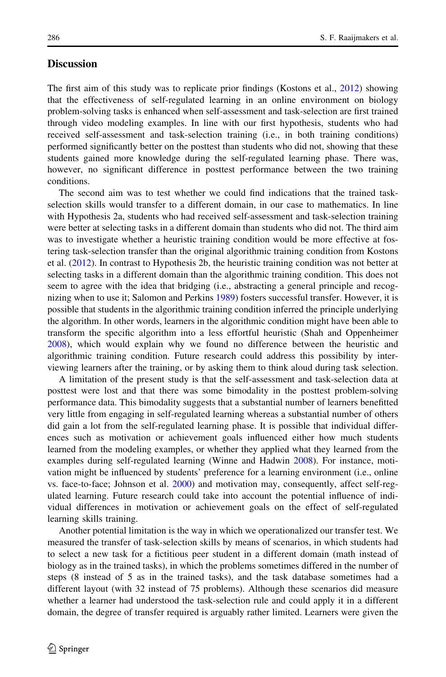## **Discussion**

The first aim of this study was to replicate prior findings (Kostons et al., [2012](#page-16-0)) showing that the effectiveness of self-regulated learning in an online environment on biology problem-solving tasks is enhanced when self-assessment and task-selection are first trained through video modeling examples. In line with our first hypothesis, students who had received self-assessment and task-selection training (i.e., in both training conditions) performed significantly better on the posttest than students who did not, showing that these students gained more knowledge during the self-regulated learning phase. There was, however, no significant difference in posttest performance between the two training conditions.

The second aim was to test whether we could find indications that the trained taskselection skills would transfer to a different domain, in our case to mathematics. In line with Hypothesis 2a, students who had received self-assessment and task-selection training were better at selecting tasks in a different domain than students who did not. The third aim was to investigate whether a heuristic training condition would be more effective at fostering task-selection transfer than the original algorithmic training condition from Kostons et al. [\(2012\)](#page-16-0). In contrast to Hypothesis 2b, the heuristic training condition was not better at selecting tasks in a different domain than the algorithmic training condition. This does not seem to agree with the idea that bridging (i.e., abstracting a general principle and recognizing when to use it; Salomon and Perkins [1989\)](#page-17-0) fosters successful transfer. However, it is possible that students in the algorithmic training condition inferred the principle underlying the algorithm. In other words, learners in the algorithmic condition might have been able to transform the specific algorithm into a less effortful heuristic (Shah and Oppenheimer [2008\)](#page-17-0), which would explain why we found no difference between the heuristic and algorithmic training condition. Future research could address this possibility by interviewing learners after the training, or by asking them to think aloud during task selection.

A limitation of the present study is that the self-assessment and task-selection data at posttest were lost and that there was some bimodality in the posttest problem-solving performance data. This bimodality suggests that a substantial number of learners benefitted very little from engaging in self-regulated learning whereas a substantial number of others did gain a lot from the self-regulated learning phase. It is possible that individual differences such as motivation or achievement goals influenced either how much students learned from the modeling examples, or whether they applied what they learned from the examples during self-regulated learning (Winne and Hadwin [2008](#page-17-0)). For instance, motivation might be influenced by students' preference for a learning environment (i.e., online vs. face-to-face; Johnson et al. [2000\)](#page-16-0) and motivation may, consequently, affect self-regulated learning. Future research could take into account the potential influence of individual differences in motivation or achievement goals on the effect of self-regulated learning skills training.

Another potential limitation is the way in which we operationalized our transfer test. We measured the transfer of task-selection skills by means of scenarios, in which students had to select a new task for a fictitious peer student in a different domain (math instead of biology as in the trained tasks), in which the problems sometimes differed in the number of steps (8 instead of 5 as in the trained tasks), and the task database sometimes had a different layout (with 32 instead of 75 problems). Although these scenarios did measure whether a learner had understood the task-selection rule and could apply it in a different domain, the degree of transfer required is arguably rather limited. Learners were given the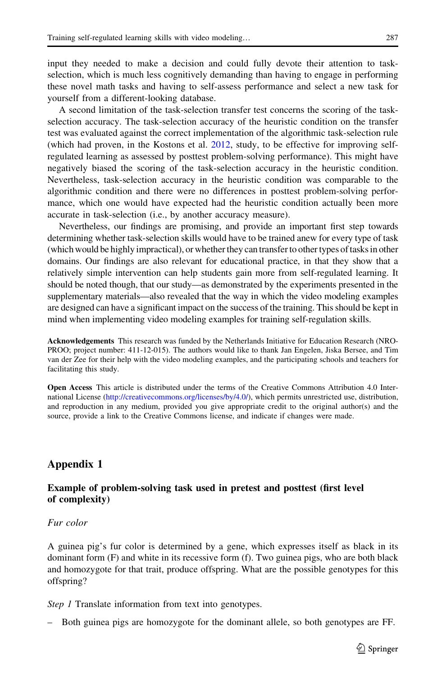<span id="page-14-0"></span>input they needed to make a decision and could fully devote their attention to taskselection, which is much less cognitively demanding than having to engage in performing these novel math tasks and having to self-assess performance and select a new task for yourself from a different-looking database.

A second limitation of the task-selection transfer test concerns the scoring of the taskselection accuracy. The task-selection accuracy of the heuristic condition on the transfer test was evaluated against the correct implementation of the algorithmic task-selection rule (which had proven, in the Kostons et al. [2012](#page-16-0), study, to be effective for improving selfregulated learning as assessed by posttest problem-solving performance). This might have negatively biased the scoring of the task-selection accuracy in the heuristic condition. Nevertheless, task-selection accuracy in the heuristic condition was comparable to the algorithmic condition and there were no differences in posttest problem-solving performance, which one would have expected had the heuristic condition actually been more accurate in task-selection (i.e., by another accuracy measure).

Nevertheless, our findings are promising, and provide an important first step towards determining whether task-selection skills would have to be trained anew for every type of task (which would be highly impractical), or whether they can transfer to other types of tasks in other domains. Our findings are also relevant for educational practice, in that they show that a relatively simple intervention can help students gain more from self-regulated learning. It should be noted though, that our study—as demonstrated by the experiments presented in the supplementary materials—also revealed that the way in which the video modeling examples are designed can have a significant impact on the success of the training. This should be kept in mind when implementing video modeling examples for training self-regulation skills.

Acknowledgements This research was funded by the Netherlands Initiative for Education Research (NRO-PROO; project number: 411-12-015). The authors would like to thank Jan Engelen, Jiska Bersee, and Tim van der Zee for their help with the video modeling examples, and the participating schools and teachers for facilitating this study.

Open Access This article is distributed under the terms of the Creative Commons Attribution 4.0 International License [\(http://creativecommons.org/licenses/by/4.0/\)](http://creativecommons.org/licenses/by/4.0/), which permits unrestricted use, distribution, and reproduction in any medium, provided you give appropriate credit to the original author(s) and the source, provide a link to the Creative Commons license, and indicate if changes were made.

## Appendix 1

## Example of problem-solving task used in pretest and posttest (first level of complexity)

#### Fur color

A guinea pig's fur color is determined by a gene, which expresses itself as black in its dominant form (F) and white in its recessive form (f). Two guinea pigs, who are both black and homozygote for that trait, produce offspring. What are the possible genotypes for this offspring?

Step 1 Translate information from text into genotypes.

– Both guinea pigs are homozygote for the dominant allele, so both genotypes are FF.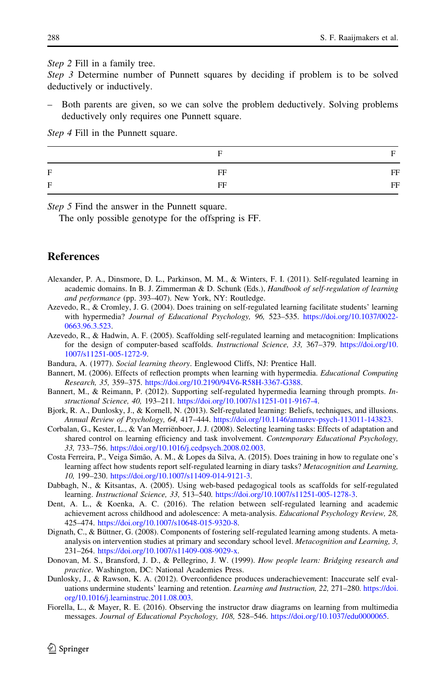<span id="page-15-0"></span>Step 2 Fill in a family tree.

Step 3 Determine number of Punnett squares by deciding if problem is to be solved deductively or inductively.

– Both parents are given, so we can solve the problem deductively. Solving problems deductively only requires one Punnett square.

Step 4 Fill in the Punnett square.

|   |    | Е  |
|---|----|----|
| F | FF | FF |
| F | FF | FF |

Step 5 Find the answer in the Punnett square.

The only possible genotype for the offspring is FF.

### References

- Alexander, P. A., Dinsmore, D. L., Parkinson, M. M., & Winters, F. I. (2011). Self-regulated learning in academic domains. In B. J. Zimmerman & D. Schunk (Eds.), Handbook of self-regulation of learning and performance (pp. 393–407). New York, NY: Routledge.
- Azevedo, R., & Cromley, J. G. (2004). Does training on self-regulated learning facilitate students' learning with hypermedia? Journal of Educational Psychology, 96, 523–535. [https://doi.org/10.1037/0022-](https://doi.org/10.1037/0022-0663.96.3.523) [0663.96.3.523](https://doi.org/10.1037/0022-0663.96.3.523).
- Azevedo, R., & Hadwin, A. F. (2005). Scaffolding self-regulated learning and metacognition: Implications for the design of computer-based scaffolds. Instructional Science, 33, 367–379. [https://doi.org/10.](https://doi.org/10.1007/s11251-005-1272-9) [1007/s11251-005-1272-9.](https://doi.org/10.1007/s11251-005-1272-9)
- Bandura, A. (1977). Social learning theory. Englewood Cliffs, NJ: Prentice Hall.
- Bannert, M. (2006). Effects of reflection prompts when learning with hypermedia. Educational Computing Research, 35, 359–375. <https://doi.org/10.2190/94V6-R58H-3367-G388>.
- Bannert, M., & Reimann, P. (2012). Supporting self-regulated hypermedia learning through prompts. Instructional Science, 40, 193–211. <https://doi.org/10.1007/s11251-011-9167-4>.
- Bjork, R. A., Dunlosky, J., & Kornell, N. (2013). Self-regulated learning: Beliefs, techniques, and illusions. Annual Review of Psychology, 64, 417–444. [https://doi.org/10.1146/annurev-psych-113011-143823.](https://doi.org/10.1146/annurev-psych-113011-143823)
- Corbalan, G., Kester, L., & Van Merriënboer, J. J. (2008). Selecting learning tasks: Effects of adaptation and shared control on learning efficiency and task involvement. Contemporary Educational Psychology, 33, 733–756. [https://doi.org/10.1016/j.cedpsych.2008.02.003.](https://doi.org/10.1016/j.cedpsych.2008.02.003)
- Costa Ferreira, P., Veiga Simão, A. M., & Lopes da Silva, A. (2015). Does training in how to regulate one's learning affect how students report self-regulated learning in diary tasks? Metacognition and Learning, 10, 199–230. [https://doi.org/10.1007/s11409-014-9121-3.](https://doi.org/10.1007/s11409-014-9121-3)
- Dabbagh, N., & Kitsantas, A. (2005). Using web-based pedagogical tools as scaffolds for self-regulated learning. Instructional Science, 33, 513–540. <https://doi.org/10.1007/s11251-005-1278-3>.
- Dent, A. L., & Koenka, A. C. (2016). The relation between self-regulated learning and academic achievement across childhood and adolescence: A meta-analysis. Educational Psychology Review, 28, 425–474. <https://doi.org/10.1007/s10648-015-9320-8>.
- Dignath, C., & Büttner, G. (2008). Components of fostering self-regulated learning among students. A metaanalysis on intervention studies at primary and secondary school level. Metacognition and Learning, 3, 231–264. <https://doi.org/10.1007/s11409-008-9029-x>.
- Donovan, M. S., Bransford, J. D., & Pellegrino, J. W. (1999). How people learn: Bridging research and practice. Washington, DC: National Academies Press.
- Dunlosky, J., & Rawson, K. A. (2012). Overconfidence produces underachievement: Inaccurate self evaluations undermine students' learning and retention. Learning and Instruction, 22, 271–280. [https://doi.](https://doi.org/10.1016/j.learninstruc.2011.08.003) [org/10.1016/j.learninstruc.2011.08.003](https://doi.org/10.1016/j.learninstruc.2011.08.003).
- Fiorella, L., & Mayer, R. E. (2016). Observing the instructor draw diagrams on learning from multimedia messages. Journal of Educational Psychology, 108, 528–546. <https://doi.org/10.1037/edu0000065>.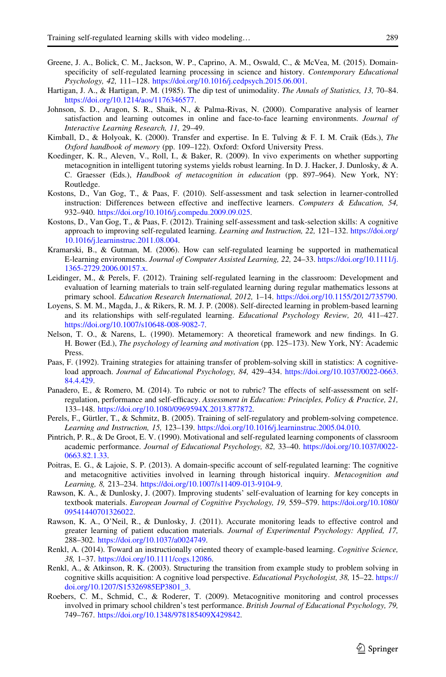- <span id="page-16-0"></span>Greene, J. A., Bolick, C. M., Jackson, W. P., Caprino, A. M., Oswald, C., & McVea, M. (2015). Domainspecificity of self-regulated learning processing in science and history. Contemporary Educational Psychology, 42, 111–128. <https://doi.org/10.1016/j.cedpsych.2015.06.001>.
- Hartigan, J. A., & Hartigan, P. M. (1985). The dip test of unimodality. The Annals of Statistics, 13, 70–84. [https://doi.org/10.1214/aos/1176346577.](https://doi.org/10.1214/aos/1176346577)
- Johnson, S. D., Aragon, S. R., Shaik, N., & Palma-Rivas, N. (2000). Comparative analysis of learner satisfaction and learning outcomes in online and face-to-face learning environments. Journal of Interactive Learning Research, 11, 29–49.
- Kimball, D., & Holyoak, K. (2000). Transfer and expertise. In E. Tulving & F. I. M. Craik (Eds.), The Oxford handbook of memory (pp. 109–122). Oxford: Oxford University Press.
- Koedinger, K. R., Aleven, V., Roll, I., & Baker, R. (2009). In vivo experiments on whether supporting metacognition in intelligent tutoring systems yields robust learning. In D. J. Hacker, J. Dunlosky, & A. C. Graesser (Eds.), Handbook of metacognition in education (pp. 897–964). New York, NY: Routledge.
- Kostons, D., Van Gog, T., & Paas, F. (2010). Self-assessment and task selection in learner-controlled instruction: Differences between effective and ineffective learners. Computers & Education, 54, 932–940. [https://doi.org/10.1016/j.compedu.2009.09.025.](https://doi.org/10.1016/j.compedu.2009.09.025)
- Kostons, D., Van Gog, T., & Paas, F. (2012). Training self-assessment and task-selection skills: A cognitive approach to improving self-regulated learning. Learning and Instruction, 22, 121–132. [https://doi.org/](https://doi.org/10.1016/j.learninstruc.2011.08.004) [10.1016/j.learninstruc.2011.08.004](https://doi.org/10.1016/j.learninstruc.2011.08.004).
- Kramarski, B., & Gutman, M. (2006). How can self-regulated learning be supported in mathematical E-learning environments. Journal of Computer Assisted Learning, 22, 24–33. [https://doi.org/10.1111/j.](https://doi.org/10.1111/j.1365-2729.2006.00157.x) [1365-2729.2006.00157.x.](https://doi.org/10.1111/j.1365-2729.2006.00157.x)
- Leidinger, M., & Perels, F. (2012). Training self-regulated learning in the classroom: Development and evaluation of learning materials to train self-regulated learning during regular mathematics lessons at primary school. Education Research International, 2012, 1–14. [https://doi.org/10.1155/2012/735790.](https://doi.org/10.1155/2012/735790)
- Loyens, S. M. M., Magda, J., & Rikers, R. M. J. P. (2008). Self-directed learning in problem-based learning and its relationships with self-regulated learning. Educational Psychology Review, 20, 411–427. [https://doi.org/10.1007/s10648-008-9082-7.](https://doi.org/10.1007/s10648-008-9082-7)
- Nelson, T. O., & Narens, L. (1990). Metamemory: A theoretical framework and new findings. In G. H. Bower (Ed.), The psychology of learning and motivation (pp. 125–173). New York, NY: Academic Press.
- Paas, F. (1992). Training strategies for attaining transfer of problem-solving skill in statistics: A cognitiveload approach. Journal of Educational Psychology, 84, 429-434. [https://doi.org/10.1037/0022-0663.](https://doi.org/10.1037/0022-0663.84.4.429) [84.4.429.](https://doi.org/10.1037/0022-0663.84.4.429)
- Panadero, E., & Romero, M. (2014). To rubric or not to rubric? The effects of self-assessment on selfregulation, performance and self-efficacy. Assessment in Education: Principles, Policy & Practice, 21, 133–148. [https://doi.org/10.1080/0969594X.2013.877872.](https://doi.org/10.1080/0969594X.2013.877872)
- Perels, F., Gürtler, T., & Schmitz, B. (2005). Training of self-regulatory and problem-solving competence. Learning and Instruction, 15, 123–139. [https://doi.org/10.1016/j.learninstruc.2005.04.010.](https://doi.org/10.1016/j.learninstruc.2005.04.010)
- Pintrich, P. R., & De Groot, E. V. (1990). Motivational and self-regulated learning components of classroom academic performance. Journal of Educational Psychology, 82, 33–40. [https://doi.org/10.1037/0022-](https://doi.org/10.1037/0022-0663.82.1.33) [0663.82.1.33.](https://doi.org/10.1037/0022-0663.82.1.33)
- Poitras, E. G., & Lajoie, S. P. (2013). A domain-specific account of self-regulated learning: The cognitive and metacognitive activities involved in learning through historical inquiry. Metacognition and Learning, 8, 213–234. [https://doi.org/10.1007/s11409-013-9104-9.](https://doi.org/10.1007/s11409-013-9104-9)
- Rawson, K. A., & Dunlosky, J. (2007). Improving students' self-evaluation of learning for key concepts in textbook materials. European Journal of Cognitive Psychology, 19, 559–579. [https://doi.org/10.1080/](https://doi.org/10.1080/09541440701326022) [09541440701326022](https://doi.org/10.1080/09541440701326022).
- Rawson, K. A., O'Neil, R., & Dunlosky, J. (2011). Accurate monitoring leads to effective control and greater learning of patient education materials. Journal of Experimental Psychology: Applied, 17, 288–302. [https://doi.org/10.1037/a0024749.](https://doi.org/10.1037/a0024749)
- Renkl, A. (2014). Toward an instructionally oriented theory of example-based learning. Cognitive Science, 38, 1–37. [https://doi.org/10.1111/cogs.12086.](https://doi.org/10.1111/cogs.12086)
- Renkl, A., & Atkinson, R. K. (2003). Structuring the transition from example study to problem solving in cognitive skills acquisition: A cognitive load perspective. Educational Psychologist, 38, 15–22. [https://](https://doi.org/10.1207/S15326985EP3801_3) [doi.org/10.1207/S15326985EP3801\\_3](https://doi.org/10.1207/S15326985EP3801_3).
- Roebers, C. M., Schmid, C., & Roderer, T. (2009). Metacognitive monitoring and control processes involved in primary school children's test performance. British Journal of Educational Psychology, 79, 749–767. [https://doi.org/10.1348/978185409X429842.](https://doi.org/10.1348/978185409X429842)